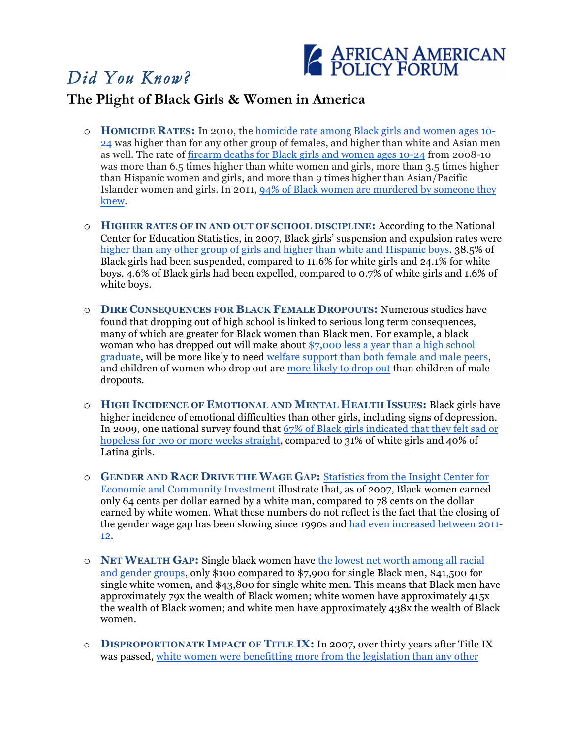## *Did You Know?*



## **The Plight of Black Girls & Women in America**

- o **HOMICIDE RATES:** In 2010, the homicide rate among Black girls and women ages 10- 24 was higher than for any other group of females, and higher than white and Asian men as well. The rate of firearm deaths for Black girls and women ages 10-24 from 2008-10 was more than 6.5 times higher than white women and girls, more than 3.5 times higher than Hispanic women and girls, and more than 9 times higher than Asian/Pacific Islander women and girls. In 2011, 94% of Black women are murdered by someone they knew.
- o **HIGHER RATES OF IN AND OUT OF SCHOOL DISCIPLINE:** According to the National Center for Education Statistics, in 2007, Black girls' suspension and expulsion rates were higher than any other group of girls and higher than white and Hispanic boys. 38.5% of Black girls had been suspended, compared to 11.6% for white girls and 24.1% for white boys. 4.6% of Black girls had been expelled, compared to 0.7% of white girls and 1.6% of white boys.
- o **DIRE CONSEQUENCES FOR BLACK FEMALE DROPOUTS:** Numerous studies have found that dropping out of high school is linked to serious long term consequences, many of which are greater for Black women than Black men. For example, a black woman who has dropped out will make about \$7,000 less a year than a high school graduate, will be more likely to need welfare support than both female and male peers, and children of women who drop out are more likely to drop out than children of male dropouts.
- o **HIGH INCIDENCE OF EMOTIONAL AND MENTAL HEALTH ISSUES:** Black girls have higher incidence of emotional difficulties than other girls, including signs of depression. In 2009, one national survey found that 67% of Black girls indicated that they felt sad or hopeless for two or more weeks straight, compared to 31% of white girls and 40% of Latina girls.
- o **GENDER AND RACE DRIVE THE WAGE GAP:** Statistics from the Insight Center for Economic and Community Investment illustrate that, as of 2007, Black women earned only 64 cents per dollar earned by a white man, compared to 78 cents on the dollar earned by white women. What these numbers do not reflect is the fact that the closing of the gender wage gap has been slowing since 1990s and had even increased between 2011- 12.
- o **NET WEALTH GAP:** Single black women have the lowest net worth among all racial and gender groups, only \$100 compared to \$7,900 for single Black men, \$41,500 for single white women, and \$43,800 for single white men. This means that Black men have approximately 79x the wealth of Black women; white women have approximately 415x the wealth of Black women; and white men have approximately 438x the wealth of Black women.
- o **DISPROPORTIONATE IMPACT OF TITLE IX:** In 2007, over thirty years after Title IX was passed, white women were benefitting more from the legislation than any other